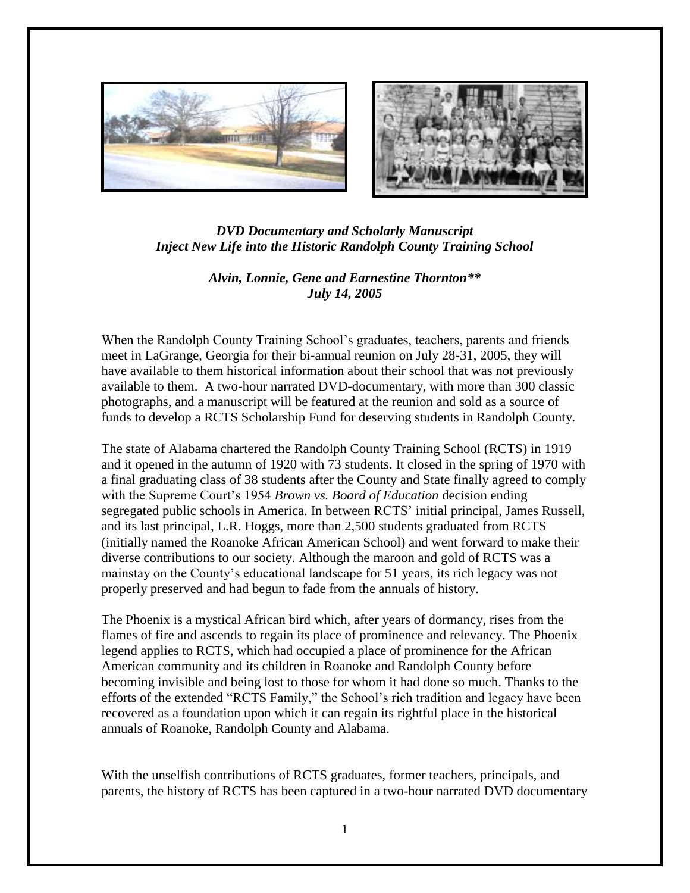



## *DVD Documentary and Scholarly Manuscript Inject New Life into the Historic Randolph County Training School*

## *Alvin, Lonnie, Gene and Earnestine Thornton\*\* July 14, 2005*

When the Randolph County Training School's graduates, teachers, parents and friends meet in LaGrange, Georgia for their bi-annual reunion on July 28-31, 2005, they will have available to them historical information about their school that was not previously available to them. A two-hour narrated DVD-documentary, with more than 300 classic photographs, and a manuscript will be featured at the reunion and sold as a source of funds to develop a RCTS Scholarship Fund for deserving students in Randolph County.

The state of Alabama chartered the Randolph County Training School (RCTS) in 1919 and it opened in the autumn of 1920 with 73 students. It closed in the spring of 1970 with a final graduating class of 38 students after the County and State finally agreed to comply with the Supreme Court's 1954 *Brown vs. Board of Education* decision ending segregated public schools in America. In between RCTS' initial principal, James Russell, and its last principal, L.R. Hoggs, more than 2,500 students graduated from RCTS (initially named the Roanoke African American School) and went forward to make their diverse contributions to our society. Although the maroon and gold of RCTS was a mainstay on the County's educational landscape for 51 years, its rich legacy was not properly preserved and had begun to fade from the annuals of history.

The Phoenix is a mystical African bird which, after years of dormancy, rises from the flames of fire and ascends to regain its place of prominence and relevancy. The Phoenix legend applies to RCTS, which had occupied a place of prominence for the African American community and its children in Roanoke and Randolph County before becoming invisible and being lost to those for whom it had done so much. Thanks to the efforts of the extended "RCTS Family," the School's rich tradition and legacy have been recovered as a foundation upon which it can regain its rightful place in the historical annuals of Roanoke, Randolph County and Alabama.

With the unselfish contributions of RCTS graduates, former teachers, principals, and parents, the history of RCTS has been captured in a two-hour narrated DVD documentary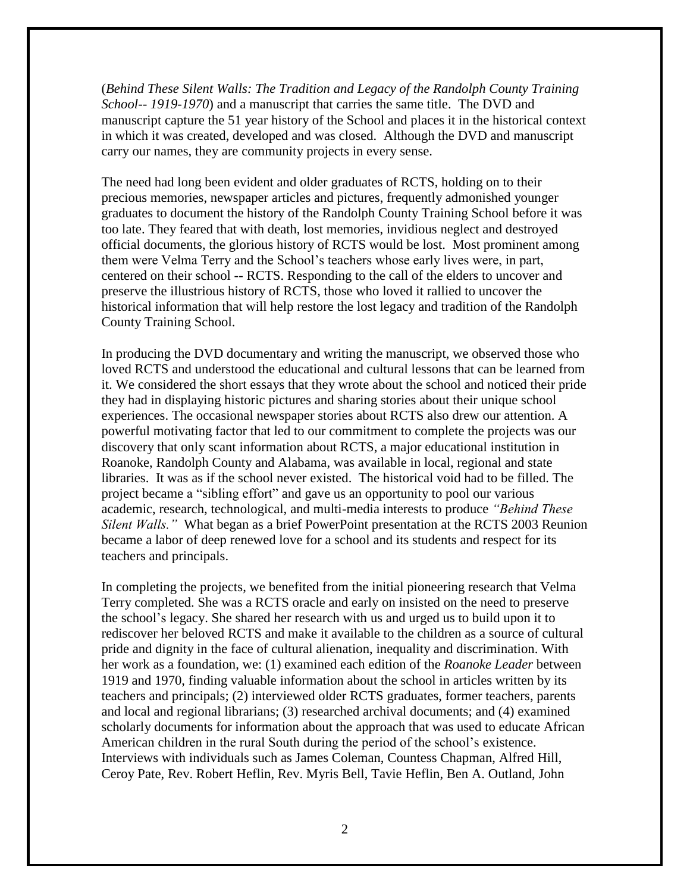(*Behind These Silent Walls: The Tradition and Legacy of the Randolph County Training School-- 1919-1970*) and a manuscript that carries the same title. The DVD and manuscript capture the 51 year history of the School and places it in the historical context in which it was created, developed and was closed. Although the DVD and manuscript carry our names, they are community projects in every sense.

The need had long been evident and older graduates of RCTS, holding on to their precious memories, newspaper articles and pictures, frequently admonished younger graduates to document the history of the Randolph County Training School before it was too late. They feared that with death, lost memories, invidious neglect and destroyed official documents, the glorious history of RCTS would be lost. Most prominent among them were Velma Terry and the School's teachers whose early lives were, in part, centered on their school -- RCTS. Responding to the call of the elders to uncover and preserve the illustrious history of RCTS, those who loved it rallied to uncover the historical information that will help restore the lost legacy and tradition of the Randolph County Training School.

In producing the DVD documentary and writing the manuscript, we observed those who loved RCTS and understood the educational and cultural lessons that can be learned from it. We considered the short essays that they wrote about the school and noticed their pride they had in displaying historic pictures and sharing stories about their unique school experiences. The occasional newspaper stories about RCTS also drew our attention. A powerful motivating factor that led to our commitment to complete the projects was our discovery that only scant information about RCTS, a major educational institution in Roanoke, Randolph County and Alabama, was available in local, regional and state libraries. It was as if the school never existed. The historical void had to be filled. The project became a "sibling effort" and gave us an opportunity to pool our various academic, research, technological, and multi-media interests to produce *"Behind These Silent Walls."* What began as a brief PowerPoint presentation at the RCTS 2003 Reunion became a labor of deep renewed love for a school and its students and respect for its teachers and principals.

In completing the projects, we benefited from the initial pioneering research that Velma Terry completed. She was a RCTS oracle and early on insisted on the need to preserve the school's legacy. She shared her research with us and urged us to build upon it to rediscover her beloved RCTS and make it available to the children as a source of cultural pride and dignity in the face of cultural alienation, inequality and discrimination. With her work as a foundation, we: (1) examined each edition of the *Roanoke Leader* between 1919 and 1970, finding valuable information about the school in articles written by its teachers and principals; (2) interviewed older RCTS graduates, former teachers, parents and local and regional librarians; (3) researched archival documents; and (4) examined scholarly documents for information about the approach that was used to educate African American children in the rural South during the period of the school's existence. Interviews with individuals such as James Coleman, Countess Chapman, Alfred Hill, Ceroy Pate, Rev. Robert Heflin, Rev. Myris Bell, Tavie Heflin, Ben A. Outland, John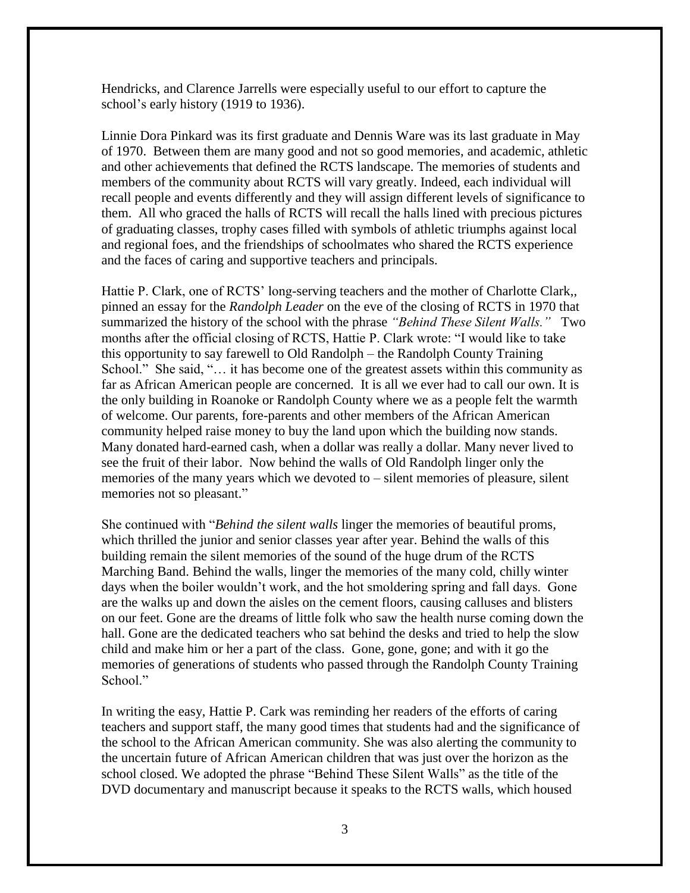Hendricks, and Clarence Jarrells were especially useful to our effort to capture the school's early history (1919 to 1936).

Linnie Dora Pinkard was its first graduate and Dennis Ware was its last graduate in May of 1970. Between them are many good and not so good memories, and academic, athletic and other achievements that defined the RCTS landscape. The memories of students and members of the community about RCTS will vary greatly. Indeed, each individual will recall people and events differently and they will assign different levels of significance to them. All who graced the halls of RCTS will recall the halls lined with precious pictures of graduating classes, trophy cases filled with symbols of athletic triumphs against local and regional foes, and the friendships of schoolmates who shared the RCTS experience and the faces of caring and supportive teachers and principals.

Hattie P. Clark, one of RCTS' long-serving teachers and the mother of Charlotte Clark,, pinned an essay for the *Randolph Leader* on the eve of the closing of RCTS in 1970 that summarized the history of the school with the phrase *"Behind These Silent Walls."* Two months after the official closing of RCTS, Hattie P. Clark wrote: "I would like to take this opportunity to say farewell to Old Randolph – the Randolph County Training School." She said, "... it has become one of the greatest assets within this community as far as African American people are concerned. It is all we ever had to call our own. It is the only building in Roanoke or Randolph County where we as a people felt the warmth of welcome. Our parents, fore-parents and other members of the African American community helped raise money to buy the land upon which the building now stands. Many donated hard-earned cash, when a dollar was really a dollar. Many never lived to see the fruit of their labor. Now behind the walls of Old Randolph linger only the memories of the many years which we devoted to – silent memories of pleasure, silent memories not so pleasant."

She continued with "*Behind the silent walls* linger the memories of beautiful proms, which thrilled the junior and senior classes year after year. Behind the walls of this building remain the silent memories of the sound of the huge drum of the RCTS Marching Band. Behind the walls, linger the memories of the many cold, chilly winter days when the boiler wouldn't work, and the hot smoldering spring and fall days. Gone are the walks up and down the aisles on the cement floors, causing calluses and blisters on our feet. Gone are the dreams of little folk who saw the health nurse coming down the hall. Gone are the dedicated teachers who sat behind the desks and tried to help the slow child and make him or her a part of the class. Gone, gone, gone; and with it go the memories of generations of students who passed through the Randolph County Training School."

In writing the easy, Hattie P. Cark was reminding her readers of the efforts of caring teachers and support staff, the many good times that students had and the significance of the school to the African American community. She was also alerting the community to the uncertain future of African American children that was just over the horizon as the school closed. We adopted the phrase "Behind These Silent Walls" as the title of the DVD documentary and manuscript because it speaks to the RCTS walls, which housed